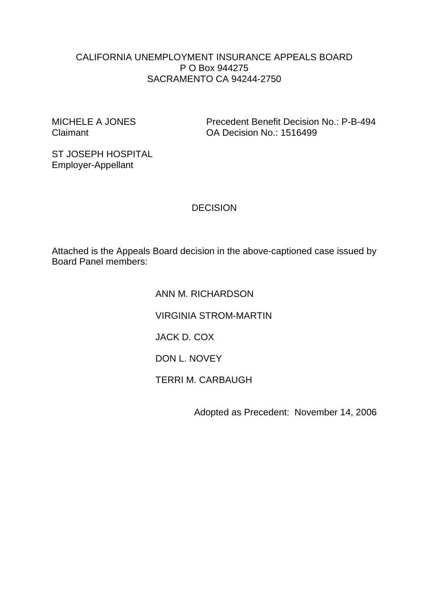#### CALIFORNIA UNEMPLOYMENT INSURANCE APPEALS BOARD P O Box 944275 SACRAMENTO CA 94244-2750

MICHELE A JONES Precedent Benefit Decision No.: P-B-494 Claimant OA Decision No.: 1516499

ST JOSEPH HOSPITAL Employer-Appellant

**DECISION** 

Attached is the Appeals Board decision in the above-captioned case issued by Board Panel members:

> ANN M. RICHARDSON VIRGINIA STROM-MARTIN JACK D. COX DON L. NOVEY TERRI M. CARBAUGH

> > Adopted as Precedent: November 14, 2006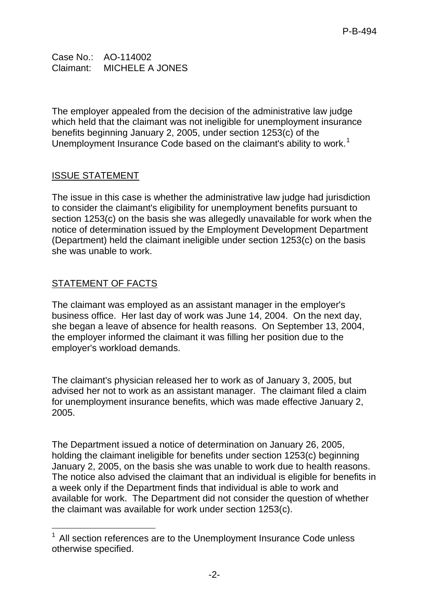Case No.: AO-114002 Claimant: MICHELE A JONES

The employer appealed from the decision of the administrative law judge which held that the claimant was not ineligible for unemployment insurance benefits beginning January 2, 2005, under section 1253(c) of the Unemployment Insurance Code based on the claimant's ability to work.<sup>[1](#page-1-0)</sup>

## ISSUE STATEMENT

The issue in this case is whether the administrative law judge had jurisdiction to consider the claimant's eligibility for unemployment benefits pursuant to section 1253(c) on the basis she was allegedly unavailable for work when the notice of determination issued by the Employment Development Department (Department) held the claimant ineligible under section 1253(c) on the basis she was unable to work.

# STATEMENT OF FACTS

The claimant was employed as an assistant manager in the employer's business office. Her last day of work was June 14, 2004. On the next day, she began a leave of absence for health reasons. On September 13, 2004, the employer informed the claimant it was filling her position due to the employer's workload demands.

The claimant's physician released her to work as of January 3, 2005, but advised her not to work as an assistant manager. The claimant filed a claim for unemployment insurance benefits, which was made effective January 2, 2005.

The Department issued a notice of determination on January 26, 2005, holding the claimant ineligible for benefits under section 1253(c) beginning January 2, 2005, on the basis she was unable to work due to health reasons. The notice also advised the claimant that an individual is eligible for benefits in a week only if the Department finds that individual is able to work and available for work. The Department did not consider the question of whether the claimant was available for work under section 1253(c).

<span id="page-1-0"></span><sup>-</sup><sup>1</sup> All section references are to the Unemployment Insurance Code unless otherwise specified.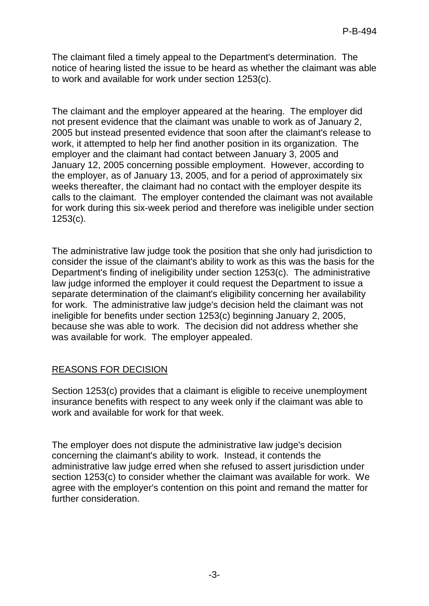The claimant filed a timely appeal to the Department's determination. The notice of hearing listed the issue to be heard as whether the claimant was able to work and available for work under section 1253(c).

The claimant and the employer appeared at the hearing. The employer did not present evidence that the claimant was unable to work as of January 2, 2005 but instead presented evidence that soon after the claimant's release to work, it attempted to help her find another position in its organization. The employer and the claimant had contact between January 3, 2005 and January 12, 2005 concerning possible employment. However, according to the employer, as of January 13, 2005, and for a period of approximately six weeks thereafter, the claimant had no contact with the employer despite its calls to the claimant. The employer contended the claimant was not available for work during this six-week period and therefore was ineligible under section 1253(c).

The administrative law judge took the position that she only had jurisdiction to consider the issue of the claimant's ability to work as this was the basis for the Department's finding of ineligibility under section 1253(c). The administrative law judge informed the employer it could request the Department to issue a separate determination of the claimant's eligibility concerning her availability for work. The administrative law judge's decision held the claimant was not ineligible for benefits under section 1253(c) beginning January 2, 2005, because she was able to work. The decision did not address whether she was available for work. The employer appealed.

## REASONS FOR DECISION

Section 1253(c) provides that a claimant is eligible to receive unemployment insurance benefits with respect to any week only if the claimant was able to work and available for work for that week.

The employer does not dispute the administrative law judge's decision concerning the claimant's ability to work. Instead, it contends the administrative law judge erred when she refused to assert jurisdiction under section 1253(c) to consider whether the claimant was available for work. We agree with the employer's contention on this point and remand the matter for further consideration.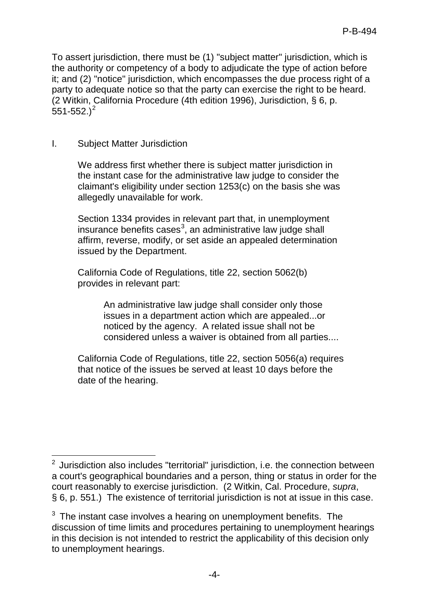To assert jurisdiction, there must be (1) "subject matter" jurisdiction, which is the authority or competency of a body to adjudicate the type of action before it; and (2) "notice" jurisdiction, which encompasses the due process right of a party to adequate notice so that the party can exercise the right to be heard. (2 Witkin, California Procedure (4th edition 1996), Jurisdiction, § 6, p.  $551 - 552.$  $551 - 552.$  $551 - 552.$ <sup>2</sup>

## I. Subject Matter Jurisdiction

We address first whether there is subject matter jurisdiction in the instant case for the administrative law judge to consider the claimant's eligibility under section 1253(c) on the basis she was allegedly unavailable for work.

Section 1334 provides in relevant part that, in unemployment insurance benefits cases<sup>[3](#page-3-1)</sup>, an administrative law judge shall affirm, reverse, modify, or set aside an appealed determination issued by the Department.

California Code of Regulations, title 22, section 5062(b) provides in relevant part:

> An administrative law judge shall consider only those issues in a department action which are appealed...or noticed by the agency. A related issue shall not be considered unless a waiver is obtained from all parties....

California Code of Regulations, title 22, section 5056(a) requires that notice of the issues be served at least 10 days before the date of the hearing.

<span id="page-3-0"></span> 2 Jurisdiction also includes "territorial" jurisdiction, i.e. the connection between a court's geographical boundaries and a person, thing or status in order for the court reasonably to exercise jurisdiction. (2 Witkin, Cal. Procedure, *supra*, § 6, p. 551.) The existence of territorial jurisdiction is not at issue in this case.

<span id="page-3-1"></span> $3$  The instant case involves a hearing on unemployment benefits. The discussion of time limits and procedures pertaining to unemployment hearings in this decision is not intended to restrict the applicability of this decision only to unemployment hearings.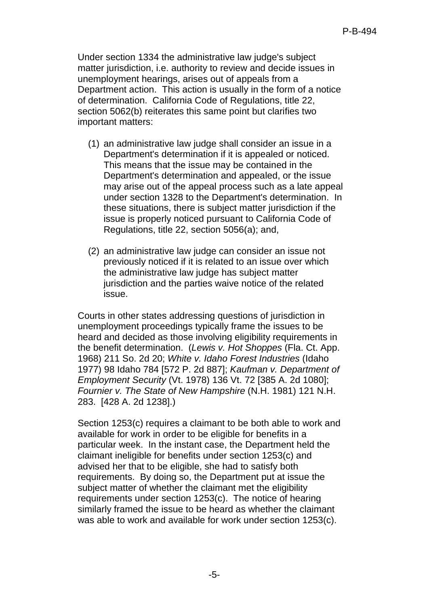Under section 1334 the administrative law judge's subject matter jurisdiction, i.e. authority to review and decide issues in unemployment hearings, arises out of appeals from a Department action. This action is usually in the form of a notice of determination. California Code of Regulations, title 22, section 5062(b) reiterates this same point but clarifies two important matters:

- (1) an administrative law judge shall consider an issue in a Department's determination if it is appealed or noticed. This means that the issue may be contained in the Department's determination and appealed, or the issue may arise out of the appeal process such as a late appeal under section 1328 to the Department's determination. In these situations, there is subject matter jurisdiction if the issue is properly noticed pursuant to California Code of Regulations, title 22, section 5056(a); and,
- (2) an administrative law judge can consider an issue not previously noticed if it is related to an issue over which the administrative law judge has subject matter jurisdiction and the parties waive notice of the related issue.

Courts in other states addressing questions of jurisdiction in unemployment proceedings typically frame the issues to be heard and decided as those involving eligibility requirements in the benefit determination. (*Lewis v. Hot Shoppes* (Fla. Ct. App. 1968) 211 So. 2d 20; *White v. Idaho Forest Industries* (Idaho 1977) 98 Idaho 784 [572 P. 2d 887]; *Kaufman v. Department of Employment Security* (Vt. 1978) 136 Vt. 72 [385 A. 2d 1080]; *Fournier v. The State of New Hampshire* (N.H. 1981) 121 N.H. 283. [428 A. 2d 1238].)

Section 1253(c) requires a claimant to be both able to work and available for work in order to be eligible for benefits in a particular week. In the instant case, the Department held the claimant ineligible for benefits under section 1253(c) and advised her that to be eligible, she had to satisfy both requirements. By doing so, the Department put at issue the subject matter of whether the claimant met the eligibility requirements under section 1253(c). The notice of hearing similarly framed the issue to be heard as whether the claimant was able to work and available for work under section 1253(c).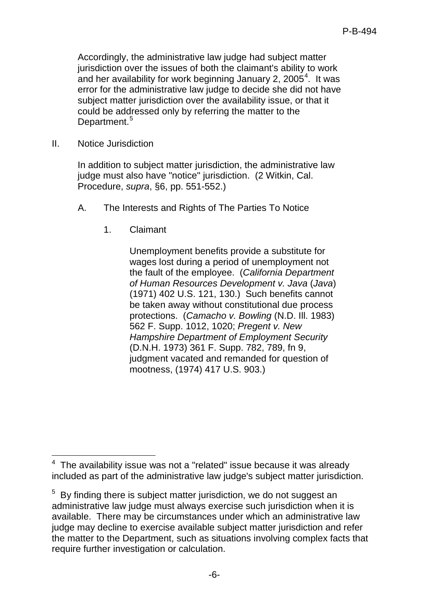Accordingly, the administrative law judge had subject matter jurisdiction over the issues of both the claimant's ability to work and her availability for work beginning January 2, 2005<sup>[4](#page-5-0)</sup>. It was error for the administrative law judge to decide she did not have subject matter jurisdiction over the availability issue, or that it could be addressed only by referring the matter to the Department.<sup>[5](#page-5-1)</sup>

II. Notice Jurisdiction

In addition to subject matter jurisdiction, the administrative law judge must also have "notice" jurisdiction. (2 Witkin, Cal. Procedure, *supra*, §6, pp. 551-552.)

- A. The Interests and Rights of The Parties To Notice
	- 1. Claimant

Unemployment benefits provide a substitute for wages lost during a period of unemployment not the fault of the employee. (*California Department of Human Resources Development v. Java* (*Java*) (1971) 402 U.S. 121, 130.) Such benefits cannot be taken away without constitutional due process protections. (*Camacho v. Bowling* (N.D. Ill. 1983) 562 F. Supp. 1012, 1020; *Pregent v. New Hampshire Department of Employment Security* (D.N.H. 1973) 361 F. Supp. 782, 789, fn 9, judgment vacated and remanded for question of mootness, (1974) 417 U.S. 903.)

<span id="page-5-0"></span><sup>-</sup> $4$  The availability issue was not a "related" issue because it was already included as part of the administrative law judge's subject matter jurisdiction.

<span id="page-5-1"></span> $5$  By finding there is subject matter jurisdiction, we do not suggest an administrative law judge must always exercise such jurisdiction when it is available. There may be circumstances under which an administrative law judge may decline to exercise available subject matter jurisdiction and refer the matter to the Department, such as situations involving complex facts that require further investigation or calculation.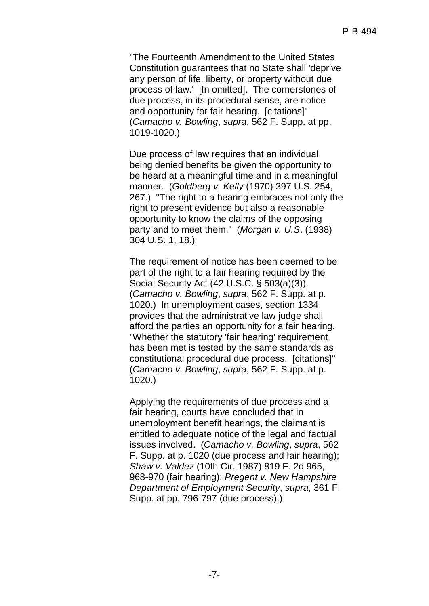"The Fourteenth Amendment to the United States Constitution guarantees that no State shall 'deprive any person of life, liberty, or property without due process of law.' [fn omitted]. The cornerstones of due process, in its procedural sense, are notice and opportunity for fair hearing. [citations]" (*Camacho v. Bowling*, *supra*, 562 F. Supp. at pp. 1019-1020.)

Due process of law requires that an individual being denied benefits be given the opportunity to be heard at a meaningful time and in a meaningful manner. (*Goldberg v. Kelly* (1970) 397 U.S. 254, 267.) "The right to a hearing embraces not only the right to present evidence but also a reasonable opportunity to know the claims of the opposing party and to meet them." (*Morgan v. U.S*. (1938) 304 U.S. 1, 18.)

The requirement of notice has been deemed to be part of the right to a fair hearing required by the Social Security Act (42 U.S.C. § 503(a)(3)). (*Camacho v. Bowling*, *supra*, 562 F. Supp. at p. 1020.) In unemployment cases, section 1334 provides that the administrative law judge shall afford the parties an opportunity for a fair hearing. "Whether the statutory 'fair hearing' requirement has been met is tested by the same standards as constitutional procedural due process. [citations]" (*Camacho v. Bowling*, *supra*, 562 F. Supp. at p. 1020.)

Applying the requirements of due process and a fair hearing, courts have concluded that in unemployment benefit hearings, the claimant is entitled to adequate notice of the legal and factual issues involved. (*Camacho v. Bowling*, *supra*, 562 F. Supp. at p. 1020 (due process and fair hearing); *Shaw v. Valdez* (10th Cir. 1987) 819 F. 2d 965, 968-970 (fair hearing); *Pregent v. New Hampshire Department of Employment Security*, *supra*, 361 F. Supp. at pp. 796-797 (due process).)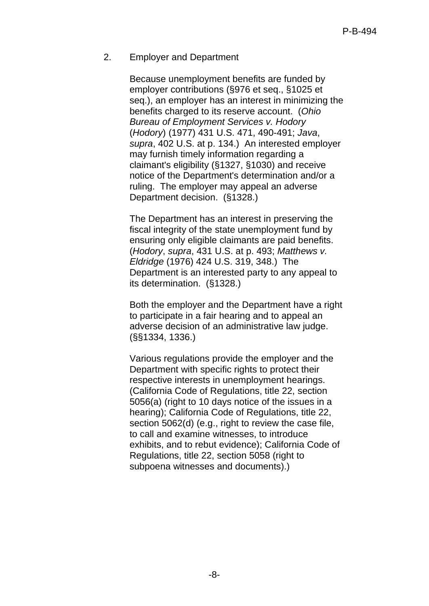#### 2. Employer and Department

Because unemployment benefits are funded by employer contributions (§976 et seq., §1025 et seq.), an employer has an interest in minimizing the benefits charged to its reserve account. (*Ohio Bureau of Employment Services v. Hodory* (*Hodory*) (1977) 431 U.S. 471, 490-491; *Java*, *supra*, 402 U.S. at p. 134.) An interested employer may furnish timely information regarding a claimant's eligibility (§1327, §1030) and receive notice of the Department's determination and/or a ruling. The employer may appeal an adverse Department decision. (§1328.)

The Department has an interest in preserving the fiscal integrity of the state unemployment fund by ensuring only eligible claimants are paid benefits. (*Hodory*, *supra*, 431 U.S. at p. 493; *Matthews v. Eldridge* (1976) 424 U.S. 319, 348.) The Department is an interested party to any appeal to its determination. (§1328.)

Both the employer and the Department have a right to participate in a fair hearing and to appeal an adverse decision of an administrative law judge. (§§1334, 1336.)

Various regulations provide the employer and the Department with specific rights to protect their respective interests in unemployment hearings. (California Code of Regulations, title 22, section 5056(a) (right to 10 days notice of the issues in a hearing); California Code of Regulations, title 22, section 5062(d) (e.g., right to review the case file, to call and examine witnesses, to introduce exhibits, and to rebut evidence); California Code of Regulations, title 22, section 5058 (right to subpoena witnesses and documents).)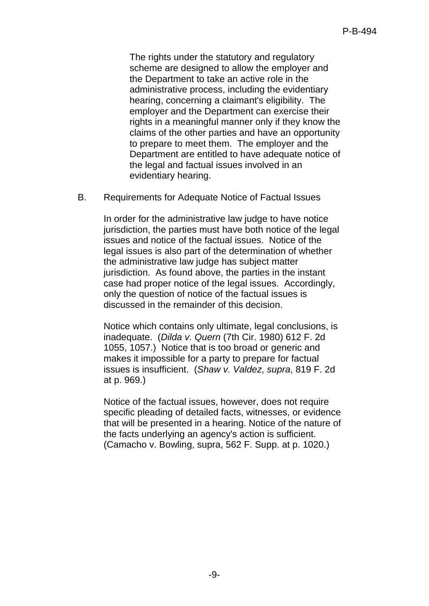The rights under the statutory and regulatory scheme are designed to allow the employer and the Department to take an active role in the administrative process, including the evidentiary hearing, concerning a claimant's eligibility. The employer and the Department can exercise their rights in a meaningful manner only if they know the claims of the other parties and have an opportunity to prepare to meet them. The employer and the Department are entitled to have adequate notice of the legal and factual issues involved in an evidentiary hearing.

B. Requirements for Adequate Notice of Factual Issues

In order for the administrative law judge to have notice jurisdiction, the parties must have both notice of the legal issues and notice of the factual issues. Notice of the legal issues is also part of the determination of whether the administrative law judge has subject matter jurisdiction. As found above, the parties in the instant case had proper notice of the legal issues. Accordingly, only the question of notice of the factual issues is discussed in the remainder of this decision.

Notice which contains only ultimate, legal conclusions, is inadequate. (*Dilda v. Quern* (7th Cir. 1980) 612 F. 2d 1055, 1057.) Notice that is too broad or generic and makes it impossible for a party to prepare for factual issues is insufficient. (*Shaw v. Valdez*, *supra*, 819 F. 2d at p. 969.)

Notice of the factual issues, however, does not require specific pleading of detailed facts, witnesses, or evidence that will be presented in a hearing. Notice of the nature of the facts underlying an agency's action is sufficient. (Camacho v. Bowling, supra, 562 F. Supp. at p. 1020.)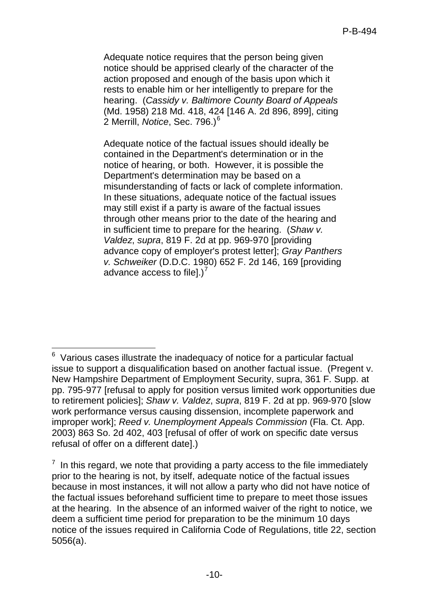Adequate notice requires that the person being given notice should be apprised clearly of the character of the action proposed and enough of the basis upon which it rests to enable him or her intelligently to prepare for the hearing. (*Cassidy v. Baltimore County Board of Appeals* (Md. 1958) 218 Md. 418, 424 [146 A. 2d 896, 899], citing 2 Merrill, *Notice*, Sec. 79[6](#page-9-0).)<sup>6</sup>

Adequate notice of the factual issues should ideally be contained in the Department's determination or in the notice of hearing, or both. However, it is possible the Department's determination may be based on a misunderstanding of facts or lack of complete information. In these situations, adequate notice of the factual issues may still exist if a party is aware of the factual issues through other means prior to the date of the hearing and in sufficient time to prepare for the hearing. (*Shaw v. Valdez*, *supra*, 819 F. 2d at pp. 969-970 [providing advance copy of employer's protest letter]; *Gray Panthers v. Schweiker* (D.D.C. 1980) 652 F. 2d 146, 169 [providing advance access to filel.) $<sup>7</sup>$  $<sup>7</sup>$  $<sup>7</sup>$ </sup>

<span id="page-9-0"></span><sup>-</sup> $6$  Various cases illustrate the inadequacy of notice for a particular factual issue to support a disqualification based on another factual issue. (Pregent v. New Hampshire Department of Employment Security, supra, 361 F. Supp. at pp. 795-977 [refusal to apply for position versus limited work opportunities due to retirement policies]; *Shaw v. Valdez*, *supra*, 819 F. 2d at pp. 969-970 [slow work performance versus causing dissension, incomplete paperwork and improper work]; *Reed v. Unemployment Appeals Commission* (Fla. Ct. App. 2003) 863 So. 2d 402, 403 [refusal of offer of work on specific date versus refusal of offer on a different date].)

<span id="page-9-1"></span> $<sup>7</sup>$  In this regard, we note that providing a party access to the file immediately</sup> prior to the hearing is not, by itself, adequate notice of the factual issues because in most instances, it will not allow a party who did not have notice of the factual issues beforehand sufficient time to prepare to meet those issues at the hearing. In the absence of an informed waiver of the right to notice, we deem a sufficient time period for preparation to be the minimum 10 days notice of the issues required in California Code of Regulations, title 22, section 5056(a).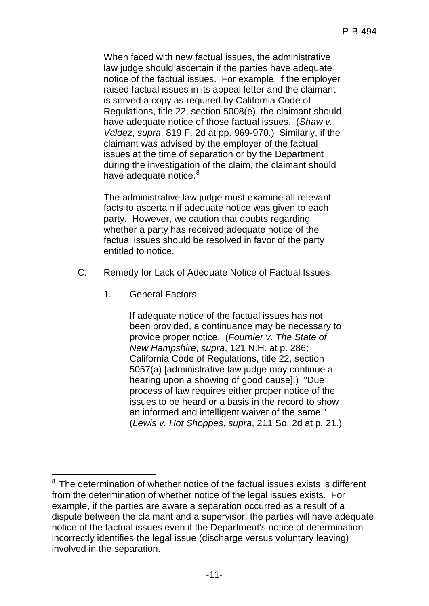When faced with new factual issues, the administrative law judge should ascertain if the parties have adequate notice of the factual issues. For example, if the employer raised factual issues in its appeal letter and the claimant is served a copy as required by California Code of Regulations, title 22, section 5008(e), the claimant should have adequate notice of those factual issues. (*Shaw v. Valdez*, *supra*, 819 F. 2d at pp. 969-970.) Similarly, if the claimant was advised by the employer of the factual issues at the time of separation or by the Department during the investigation of the claim, the claimant should have adequate notice.<sup>[8](#page-10-0)</sup>

The administrative law judge must examine all relevant facts to ascertain if adequate notice was given to each party. However, we caution that doubts regarding whether a party has received adequate notice of the factual issues should be resolved in favor of the party entitled to notice.

- C. Remedy for Lack of Adequate Notice of Factual Issues
	- 1. General Factors

 $\overline{\phantom{a}}$ 

If adequate notice of the factual issues has not been provided, a continuance may be necessary to provide proper notice. (*Fournier v. The State of New Hampshire*, *supra*, 121 N.H. at p. 286; California Code of Regulations, title 22, section 5057(a) [administrative law judge may continue a hearing upon a showing of good cause].) "Due process of law requires either proper notice of the issues to be heard or a basis in the record to show an informed and intelligent waiver of the same." (*Lewis v. Hot Shoppes*, *supra*, 211 So. 2d at p. 21.)

<span id="page-10-0"></span><sup>&</sup>lt;sup>8</sup> The determination of whether notice of the factual issues exists is different from the determination of whether notice of the legal issues exists. For example, if the parties are aware a separation occurred as a result of a dispute between the claimant and a supervisor, the parties will have adequate notice of the factual issues even if the Department's notice of determination incorrectly identifies the legal issue (discharge versus voluntary leaving) involved in the separation.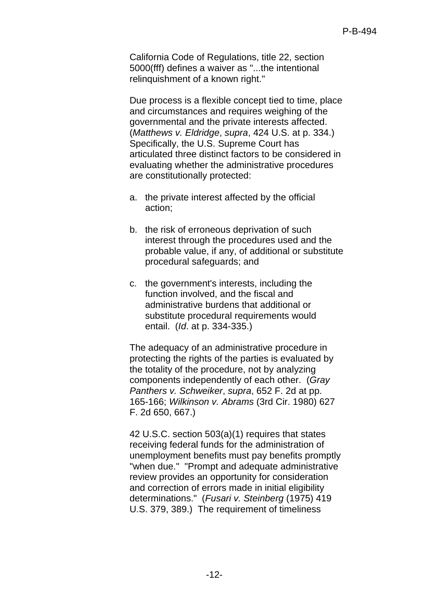California Code of Regulations, title 22, section 5000(fff) defines a waiver as "...the intentional relinquishment of a known right."

Due process is a flexible concept tied to time, place and circumstances and requires weighing of the governmental and the private interests affected. (*Matthews v. Eldridge*, *supra*, 424 U.S. at p. 334.) Specifically, the U.S. Supreme Court has articulated three distinct factors to be considered in evaluating whether the administrative procedures are constitutionally protected:

- a. the private interest affected by the official action;
- b. the risk of erroneous deprivation of such interest through the procedures used and the probable value, if any, of additional or substitute procedural safeguards; and
- c. the government's interests, including the function involved, and the fiscal and administrative burdens that additional or substitute procedural requirements would entail. (*Id*. at p. 334-335.)

The adequacy of an administrative procedure in protecting the rights of the parties is evaluated by the totality of the procedure, not by analyzing components independently of each other. (*Gray Panthers v. Schweiker*, *supra*, 652 F. 2d at pp. 165-166; *Wilkinson v. Abrams* (3rd Cir. 1980) 627 F. 2d 650, 667.)

42 U.S.C. section 503(a)(1) requires that states receiving federal funds for the administration of unemployment benefits must pay benefits promptly "when due." "Prompt and adequate administrative review provides an opportunity for consideration and correction of errors made in initial eligibility determinations." (*Fusari v. Steinberg* (1975) 419 U.S. 379, 389.) The requirement of timeliness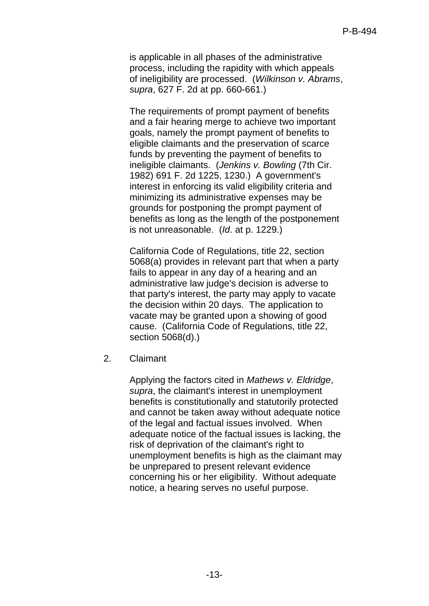is applicable in all phases of the administrative process, including the rapidity with which appeals of ineligibility are processed. (*Wilkinson v. Abrams*, *supra*, 627 F. 2d at pp. 660-661.)

The requirements of prompt payment of benefits and a fair hearing merge to achieve two important goals, namely the prompt payment of benefits to eligible claimants and the preservation of scarce funds by preventing the payment of benefits to ineligible claimants. (*Jenkins v. Bowling* (7th Cir. 1982) 691 F. 2d 1225, 1230.) A government's interest in enforcing its valid eligibility criteria and minimizing its administrative expenses may be grounds for postponing the prompt payment of benefits as long as the length of the postponement is not unreasonable. (*Id*. at p. 1229.)

California Code of Regulations, title 22, section 5068(a) provides in relevant part that when a party fails to appear in any day of a hearing and an administrative law judge's decision is adverse to that party's interest, the party may apply to vacate the decision within 20 days. The application to vacate may be granted upon a showing of good cause. (California Code of Regulations, title 22, section 5068(d).)

2. Claimant

Applying the factors cited in *Mathews v. Eldridge*, *supra*, the claimant's interest in unemployment benefits is constitutionally and statutorily protected and cannot be taken away without adequate notice of the legal and factual issues involved. When adequate notice of the factual issues is lacking, the risk of deprivation of the claimant's right to unemployment benefits is high as the claimant may be unprepared to present relevant evidence concerning his or her eligibility. Without adequate notice, a hearing serves no useful purpose.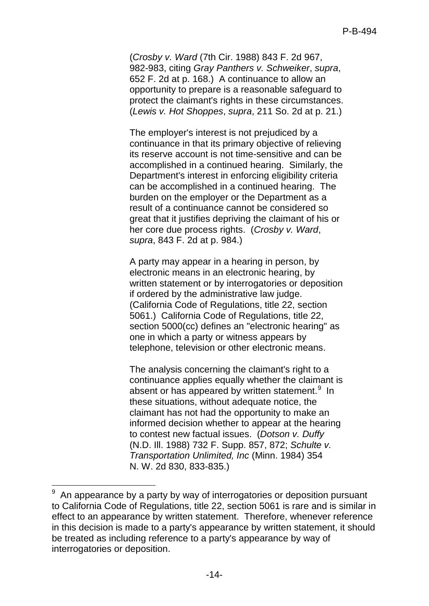(*Crosby v. Ward* (7th Cir. 1988) 843 F. 2d 967, 982-983, citing *Gray Panthers v. Schweiker*, *supra*, 652 F. 2d at p. 168.) A continuance to allow an opportunity to prepare is a reasonable safeguard to protect the claimant's rights in these circumstances. (*Lewis v. Hot Shoppes*, *supra*, 211 So. 2d at p. 21.)

The employer's interest is not prejudiced by a continuance in that its primary objective of relieving its reserve account is not time-sensitive and can be accomplished in a continued hearing. Similarly, the Department's interest in enforcing eligibility criteria can be accomplished in a continued hearing. The burden on the employer or the Department as a result of a continuance cannot be considered so great that it justifies depriving the claimant of his or her core due process rights. (*Crosby v. Ward*, *supra*, 843 F. 2d at p. 984.)

A party may appear in a hearing in person, by electronic means in an electronic hearing, by written statement or by interrogatories or deposition if ordered by the administrative law judge. (California Code of Regulations, title 22, section 5061.) California Code of Regulations, title 22, section 5000(cc) defines an "electronic hearing" as one in which a party or witness appears by telephone, television or other electronic means.

The analysis concerning the claimant's right to a continuance applies equally whether the claimant is absent or has appeared by written statement.<sup>[9](#page-13-0)</sup> In these situations, without adequate notice, the claimant has not had the opportunity to make an informed decision whether to appear at the hearing to contest new factual issues. (*Dotson v. Duffy* (N.D. Ill. 1988) 732 F. Supp. 857, 872; *Schulte v. Transportation Unlimited, Inc* (Minn. 1984) 354 N. W. 2d 830, 833-835.)

<span id="page-13-0"></span><sup>–&</sup>lt;br>9 An appearance by a party by way of interrogatories or deposition pursuant to California Code of Regulations, title 22, section 5061 is rare and is similar in effect to an appearance by written statement. Therefore, whenever reference in this decision is made to a party's appearance by written statement, it should be treated as including reference to a party's appearance by way of interrogatories or deposition.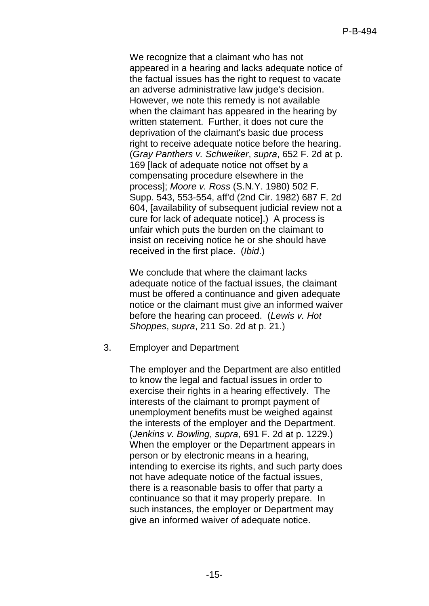We recognize that a claimant who has not appeared in a hearing and lacks adequate notice of the factual issues has the right to request to vacate an adverse administrative law judge's decision. However, we note this remedy is not available when the claimant has appeared in the hearing by written statement. Further, it does not cure the deprivation of the claimant's basic due process right to receive adequate notice before the hearing. (*Gray Panthers v. Schweiker*, *supra*, 652 F. 2d at p. 169 [lack of adequate notice not offset by a compensating procedure elsewhere in the process]; *Moore v. Ross* (S.N.Y. 1980) 502 F. Supp. 543, 553-554, aff'd (2nd Cir. 1982) 687 F. 2d 604, [availability of subsequent judicial review not a cure for lack of adequate notice].) A process is unfair which puts the burden on the claimant to insist on receiving notice he or she should have received in the first place. (*Ibid*.)

We conclude that where the claimant lacks adequate notice of the factual issues, the claimant must be offered a continuance and given adequate notice or the claimant must give an informed waiver before the hearing can proceed. (*Lewis v. Hot Shoppes*, *supra*, 211 So. 2d at p. 21.)

3. Employer and Department

The employer and the Department are also entitled to know the legal and factual issues in order to exercise their rights in a hearing effectively. The interests of the claimant to prompt payment of unemployment benefits must be weighed against the interests of the employer and the Department. (*Jenkins v. Bowling*, *supra*, 691 F. 2d at p. 1229.) When the employer or the Department appears in person or by electronic means in a hearing, intending to exercise its rights, and such party does not have adequate notice of the factual issues, there is a reasonable basis to offer that party a continuance so that it may properly prepare. In such instances, the employer or Department may give an informed waiver of adequate notice.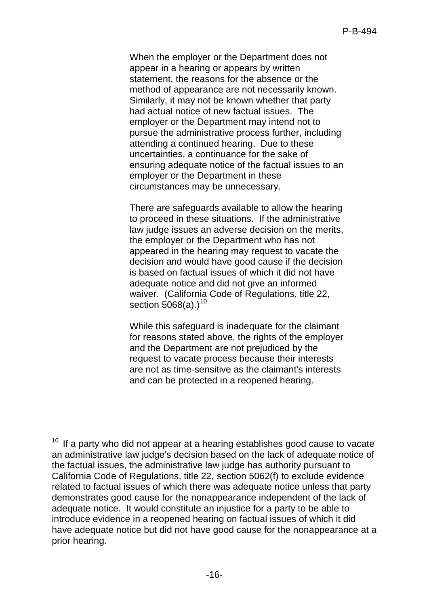When the employer or the Department does not appear in a hearing or appears by written statement, the reasons for the absence or the method of appearance are not necessarily known. Similarly, it may not be known whether that party had actual notice of new factual issues. The employer or the Department may intend not to pursue the administrative process further, including attending a continued hearing. Due to these uncertainties, a continuance for the sake of ensuring adequate notice of the factual issues to an employer or the Department in these circumstances may be unnecessary.

There are safeguards available to allow the hearing to proceed in these situations. If the administrative law judge issues an adverse decision on the merits, the employer or the Department who has not appeared in the hearing may request to vacate the decision and would have good cause if the decision is based on factual issues of which it did not have adequate notice and did not give an informed waiver. (California Code of Regulations, title 22, section  $5068(a)$ .)<sup>[10](#page-15-0)</sup>

While this safeguard is inadequate for the claimant for reasons stated above, the rights of the employer and the Department are not prejudiced by the request to vacate process because their interests are not as time-sensitive as the claimant's interests and can be protected in a reopened hearing.

<span id="page-15-0"></span><sup>-</sup>If a party who did not appear at a hearing establishes good cause to vacate an administrative law judge's decision based on the lack of adequate notice of the factual issues, the administrative law judge has authority pursuant to California Code of Regulations, title 22, section 5062(f) to exclude evidence related to factual issues of which there was adequate notice unless that party demonstrates good cause for the nonappearance independent of the lack of adequate notice. It would constitute an injustice for a party to be able to introduce evidence in a reopened hearing on factual issues of which it did have adequate notice but did not have good cause for the nonappearance at a prior hearing.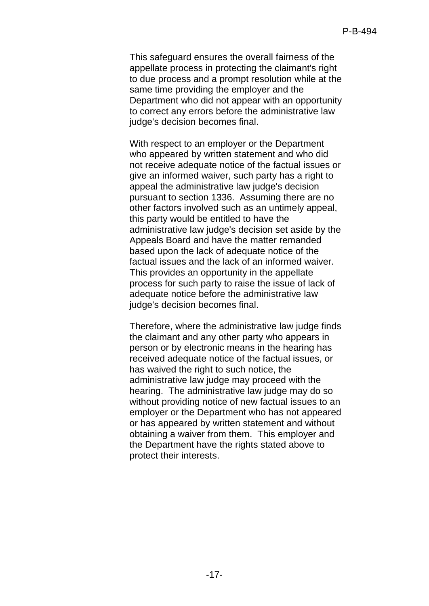This safeguard ensures the overall fairness of the appellate process in protecting the claimant's right to due process and a prompt resolution while at the same time providing the employer and the Department who did not appear with an opportunity to correct any errors before the administrative law judge's decision becomes final.

With respect to an employer or the Department who appeared by written statement and who did not receive adequate notice of the factual issues or give an informed waiver, such party has a right to appeal the administrative law judge's decision pursuant to section 1336. Assuming there are no other factors involved such as an untimely appeal, this party would be entitled to have the administrative law judge's decision set aside by the Appeals Board and have the matter remanded based upon the lack of adequate notice of the factual issues and the lack of an informed waiver. This provides an opportunity in the appellate process for such party to raise the issue of lack of adequate notice before the administrative law judge's decision becomes final.

Therefore, where the administrative law judge finds the claimant and any other party who appears in person or by electronic means in the hearing has received adequate notice of the factual issues, or has waived the right to such notice, the administrative law judge may proceed with the hearing. The administrative law judge may do so without providing notice of new factual issues to an employer or the Department who has not appeared or has appeared by written statement and without obtaining a waiver from them. This employer and the Department have the rights stated above to protect their interests.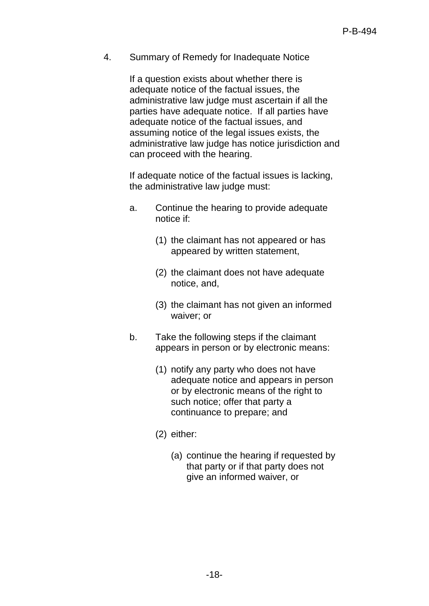4. Summary of Remedy for Inadequate Notice

If a question exists about whether there is adequate notice of the factual issues, the administrative law judge must ascertain if all the parties have adequate notice. If all parties have adequate notice of the factual issues, and assuming notice of the legal issues exists, the administrative law judge has notice jurisdiction and can proceed with the hearing.

If adequate notice of the factual issues is lacking, the administrative law judge must:

- a. Continue the hearing to provide adequate notice if:
	- (1) the claimant has not appeared or has appeared by written statement,
	- (2) the claimant does not have adequate notice, and,
	- (3) the claimant has not given an informed waiver; or
- b. Take the following steps if the claimant appears in person or by electronic means:
	- (1) notify any party who does not have adequate notice and appears in person or by electronic means of the right to such notice; offer that party a continuance to prepare; and
	- (2) either:
		- (a) continue the hearing if requested by that party or if that party does not give an informed waiver, or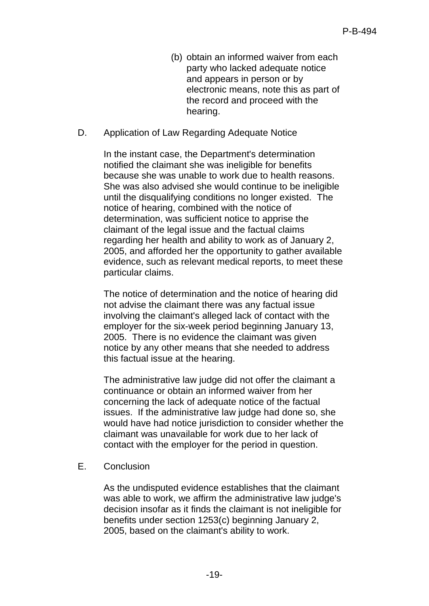- (b) obtain an informed waiver from each party who lacked adequate notice and appears in person or by electronic means, note this as part of the record and proceed with the hearing.
- D. Application of Law Regarding Adequate Notice

In the instant case, the Department's determination notified the claimant she was ineligible for benefits because she was unable to work due to health reasons. She was also advised she would continue to be ineligible until the disqualifying conditions no longer existed. The notice of hearing, combined with the notice of determination, was sufficient notice to apprise the claimant of the legal issue and the factual claims regarding her health and ability to work as of January 2, 2005, and afforded her the opportunity to gather available evidence, such as relevant medical reports, to meet these particular claims.

The notice of determination and the notice of hearing did not advise the claimant there was any factual issue involving the claimant's alleged lack of contact with the employer for the six-week period beginning January 13, 2005. There is no evidence the claimant was given notice by any other means that she needed to address this factual issue at the hearing.

The administrative law judge did not offer the claimant a continuance or obtain an informed waiver from her concerning the lack of adequate notice of the factual issues. If the administrative law judge had done so, she would have had notice jurisdiction to consider whether the claimant was unavailable for work due to her lack of contact with the employer for the period in question.

E. Conclusion

As the undisputed evidence establishes that the claimant was able to work, we affirm the administrative law judge's decision insofar as it finds the claimant is not ineligible for benefits under section 1253(c) beginning January 2, 2005, based on the claimant's ability to work.